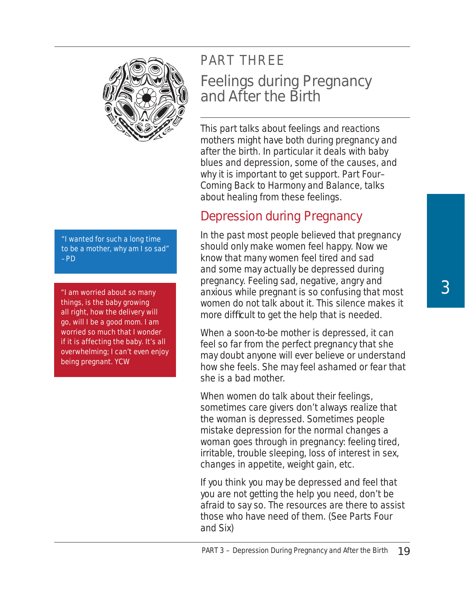

*"I wanted for such a long time to be a mother, why am I so sad" –PD*

*"I am worried about so many things, is the baby growing all right, how the delivery will go, will I be a good mom. I am worried so much that I wonder if it is affecting the baby. It's all overwhelming; I can't even enjoy being pregnant. YCW*

# PART THREE Feelings during Pregnancy and After the Birth

This part talks about feelings and reactions mothers might have both during pregnancy and after the birth. In particular it deals with baby blues and depression, some of the causes, and why it is important to get support. Part Four– Coming Back to Harmony and Balance, talks about healing from these feelings.

## Depression during Pregnancy

In the past most people believed that pregnancy should only make women feel happy. Now we know that many women feel tired and sad and some may actually be depressed during pregnancy. Feeling sad, negative, angry and anxious while pregnant is so confusing that most women do not talk about it. This silence makes it more difficult to get the help that is needed.

When a soon-to-be mother is depressed, it can feel so far from the perfect pregnancy that she may doubt anyone will ever believe or understand how she feels. She may feel ashamed or fear that she is a bad mother.

When women do talk about their feelings, sometimes care givers don't always realize that the woman is depressed. Sometimes people mistake depression for the normal changes a woman goes through in pregnancy: feeling tired, irritable, trouble sleeping, loss of interest in sex, changes in appetite, weight gain, etc.

If you think you may be depressed and feel that you are not getting the help you need, don't be afraid to say so. The resources are there to assist those who have need of them. (See Parts Four and Six)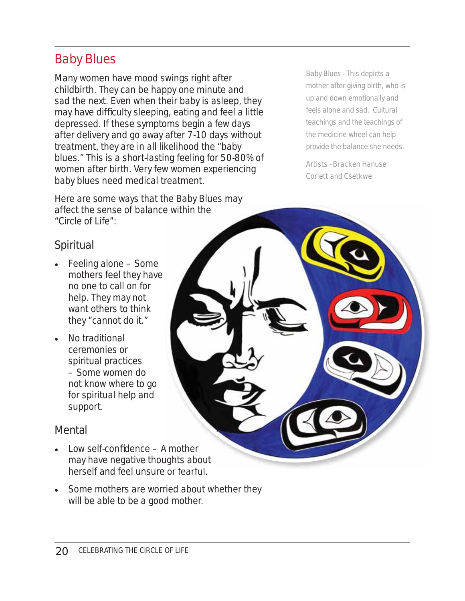## Baby Blues

Many women have mood swings right after childbirth. They can be happy one minute and sad the next. Even when their baby is asleep, they may have difficulty sleeping, eating and feel a little depressed. If these symptoms begin a few days after delivery and go away after 7-10 days without treatment, they are in all likelihood the "baby blues." This is a short-lasting feeling for 50-80% of women after birth. Very few women experiencing baby blues need medical treatment.

Here are some ways that the Baby Blues may affect the sense of balance within the "Circle of Life":

*Baby Blues - This depicts a mother after giving birth, who is up and down emotionally and feels alone and sad. Cultural teachings and the teachings of the medicine wheel can help provide the balance she needs.*

*Artists - Bracken Hanuse Corlett and Csetkwe*

#### *Spiritual*

- Feeling alone Some mothers feel they have no one to call on for help. They may not want others to think they "cannot do it."
- No traditional ceremonies or spiritual practices – Some women do not know where to go for spiritual help and support.

#### *Mental*

- $Low$  self-confidence  $-$  A mother may have negative thoughts about herself and feel unsure or fearful. e within the<br>A mother<br>ughts about or fearful
- Some mothers are worried about whether they will be able to be a good mother.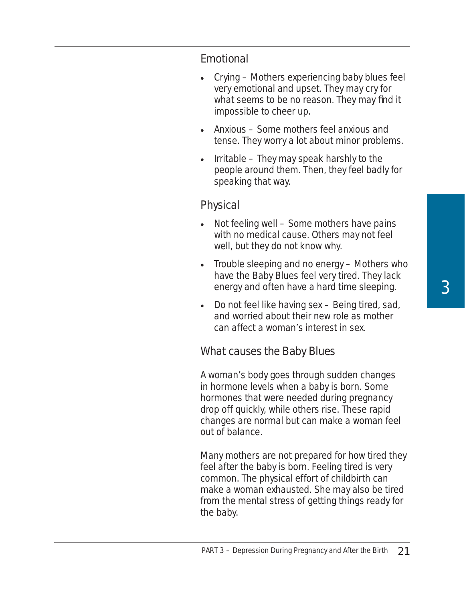#### *Emotional*

- Crying Mothers experiencing baby blues feel very emotional and upset. They may cry for what seems to be no reason. They may find it impossible to cheer up.
- Anxious Some mothers feel anxious and tense. They worry a lot about minor problems.
- $\bullet$  Irritable They may speak harshly to the people around them. Then, they feel badly for speaking that way.

#### *Physical*

- Not feeling well Some mothers have pains with no medical cause. Others may not feel well, but they do not know why.
- Trouble sleeping and no energy Mothers who have the Baby Blues feel very tired. They lack energy and often have a hard time sleeping.
- Do not feel like having sex Being tired, sad, and worried about their new role as mother can affect a woman's interest in sex.

#### *What causes the Baby Blues*

A woman's body goes through sudden changes in hormone levels when a baby is born. Some hormones that were needed during pregnancy drop off quickly, while others rise. These rapid changes are normal but can make a woman feel out of balance.

Many mothers are not prepared for how tired they feel after the baby is born. Feeling tired is very common. The physical effort of childbirth can make a woman exhausted. She may also be tired from the mental stress of getting things ready for the baby.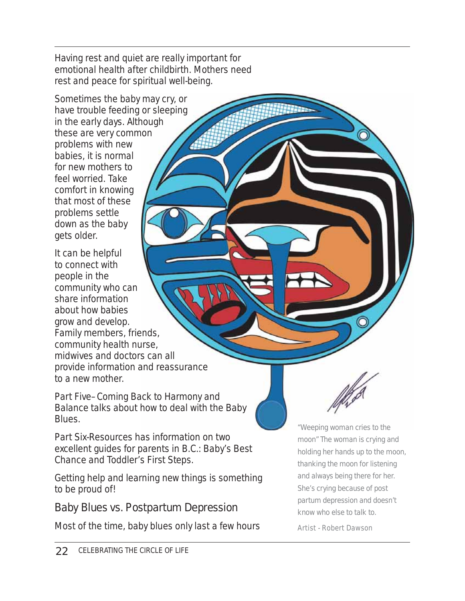Having rest and quiet are really important for emotional health after childbirth. Mothers need rest and peace for spiritual well-being.

Sometimes the baby may cry, or have trouble feeding or sleeping in the early days. Although these are very common problems with new babies, it is normal for new mothers to feel worried. Take comfort in knowing that most of these problems settle down as the baby gets older.

It can be helpful to connect with people in the community who can share information about how babies grow and develop. Family members, friends, community health nurse, midwives and doctors can all provide information and reassurance to a new mother.

Part Five–Coming Back to Harmony and Balance talks about how to deal with the Baby Blues.

Part Six-Resources has information on two excellent guides for parents in B.C.: *Baby's Best Chance* and *Toddler's First Steps*.

Getting help and learning new things is something to be proud of!

## *Baby Blues vs. Postpartum Depression*

Most of the time, baby blues only last a few hours

*"Weeping woman cries to the moon" The woman is crying and holding her hands up to the moon, thanking the moon for listening and always being there for her. She's crying because of post partum depression and doesn't know who else to talk to.*

*Artist - Robert Dawson*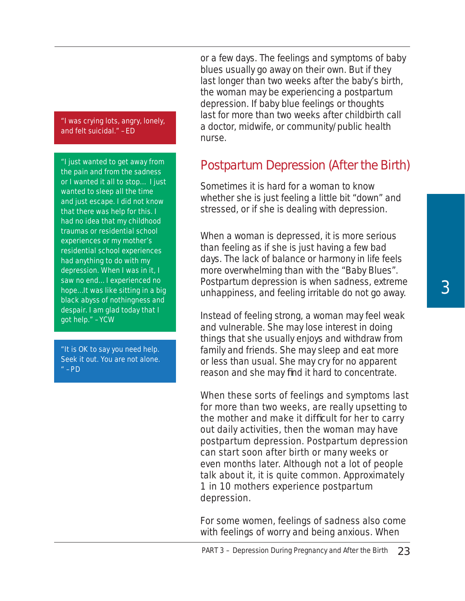#### *"I was crying lots, angry, lonely, and felt suicidal." –ED*

*"I just wanted to get away from the pain and from the sadness or I wanted it all to stop… I just wanted to sleep all the time and just escape. I did not know that there was help for this. I had no idea that my childhood traumas or residential school experiences or my mother's residential school experiences had anything to do with my depression. When I was in it, I saw no end… I experienced no hope…It was like sitting in a big black abyss of nothingness and despair. I am glad today that I got help." –YCW*

*"It is OK to say you need help. Seek it out. You are not alone. " –PD*

or a few days. The feelings and symptoms of baby blues usually go away on their own. But if they last longer than two weeks after the baby's birth, the woman may be experiencing a postpartum depression. If baby blue feelings or thoughts last for more than two weeks after childbirth call a doctor, midwife, or community/public health nurse.

## Postpartum Depression (After the Birth)

Sometimes it is hard for a woman to know whether she is just feeling a little bit "down" and stressed, or if she is dealing with depression.

When a woman is depressed, it is more serious than feeling as if she is just having a few bad days. The lack of balance or harmony in life feels more overwhelming than with the "Baby Blues". Postpartum depression is when sadness, extreme unhappiness, and feeling irritable do not go away.

Instead of feeling strong, a woman may feel weak and vulnerable. She may lose interest in doing things that she usually enjoys and withdraw from family and friends. She may sleep and eat more or less than usual. She may cry for no apparent reason and she may find it hard to concentrate.

When these sorts of feelings and symptoms last for more than two weeks, are really upsetting to the mother and make it difficult for her to carry out daily activities, then the woman may have postpartum depression. Postpartum depression can start soon after birth or many weeks or even months later. Although not a lot of people talk about it, it is quite common. Approximately 1 in 10 mothers experience postpartum depression.

For some women, feelings of sadness also come with feelings of worry and being anxious. When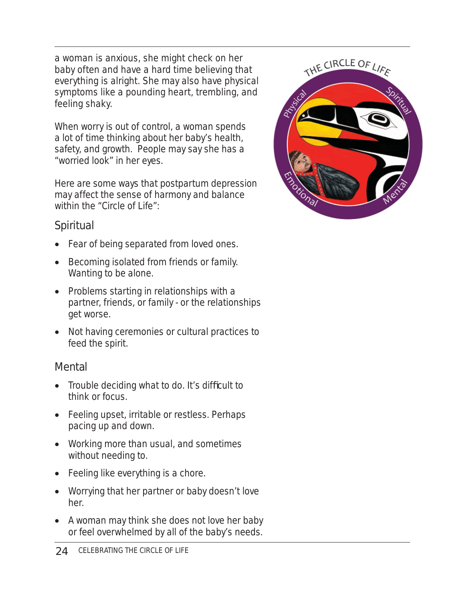a woman is anxious, she might check on her baby often and have a hard time believing that everything is alright. She may also have physical symptoms like a pounding heart, trembling, and feeling shaky.

When worry is out of control, a woman spends a lot of time thinking about her baby's health, safety, and growth. People may say she has a "worried look" in her eyes.

Here are some ways that postpartum depression may affect the sense of harmony and balance within the "Circle of Life":

## *Spiritual*

- Fear of being separated from loved ones.
- Becoming isolated from friends or family. Wanting to be alone.
- Problems starting in relationships with a partner, friends, or family - or the relationships get worse.
- Not having ceremonies or cultural practices to feed the spirit.

## *Mental*

- $\bullet$  Trouble deciding what to do. It's difficult to think or focus.
- Feeling upset, irritable or restless. Perhaps pacing up and down.
- Working more than usual, and sometimes without needing to.
- Feeling like everything is a chore.
- Worrying that her partner or baby doesn't love her.
- A woman may think she does not love her baby or feel overwhelmed by all of the baby's needs.

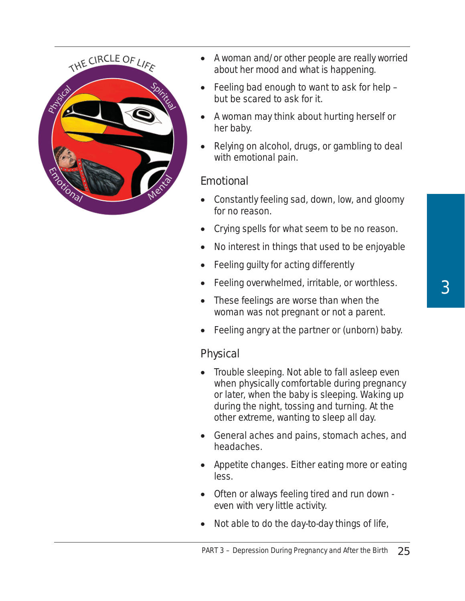

- A woman and/or other people are really worried about her mood and what is happening.
- Feeling bad enough to want to ask for help but be scared to ask for it.
- A woman may think about hurting herself or her baby.
- Relying on alcohol, drugs, or gambling to deal with emotional pain.

#### *Emotional*

- Constantly feeling sad, down, low, and gloomy for no reason.
- Crying spells for what seem to be no reason.
- No interest in things that used to be enjoyable
- Feeling guilty for acting differently
- Feeling overwhelmed, irritable, or worthless.
- These feelings are worse than when the woman was not pregnant or not a parent.
- Feeling angry at the partner or (unborn) baby.

## *Physical*

- Trouble sleeping. Not able to fall asleep even when physically comfortable during pregnancy or later, when the baby is sleeping. Waking up during the night, tossing and turning. At the other extreme, wanting to sleep all day.
- General aches and pains, stomach aches, and headaches.
- Appetite changes. Either eating more or eating less.
- Often or always feeling tired and run down even with very little activity.
- Not able to do the day-to-day things of life,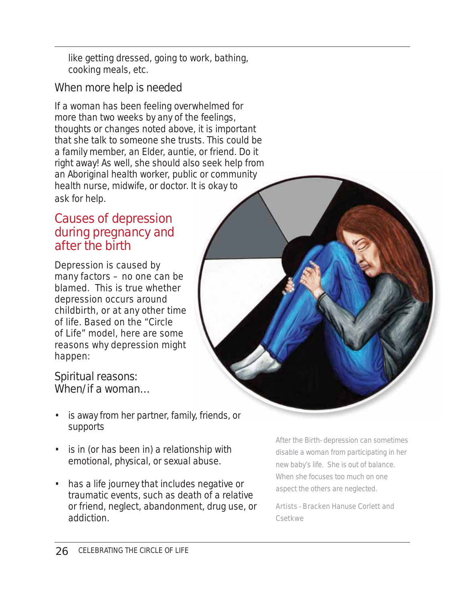like getting dressed, going to work, bathing, cooking meals, etc.

## *When more help is needed*

If a woman has been feeling overwhelmed for more than two weeks by any of the feelings, thoughts or changes noted above, it is important that she talk to someone she trusts. This could be a family member, an Elder, auntie, or friend. Do it right away! As well, she should also seek help from an Aboriginal health worker, public or community health nurse, midwife, or doctor. It is okay to ask for help. ic or commu<br>It is okay to<br>y, friends, or

## Causes of depression during pregnancy and after the birth

Depression is caused by many factors – no one can be blamed. This is true whether depression occurs around childbirth, or at any other time of life. Based on the "Circle of Life" model, here are some reasons why depression might happen:

#### *Spiritual reasons: When/if a woman…*

- is away from her partner, family, friends, or supports
- is in (or has been in) a relationship with emotional, physical, or sexual abuse.
- has a life journey that includes negative or traumatic events, such as death of a relative or friend, neglect, abandonment, drug use, or addiction.

*After the Birth- depression can sometimes disable a woman from participating in her new baby's life. She is out of balance. When she focuses too much on one aspect the others are neglected.*

*Artists - Bracken Hanuse Corlett and Csetkwe*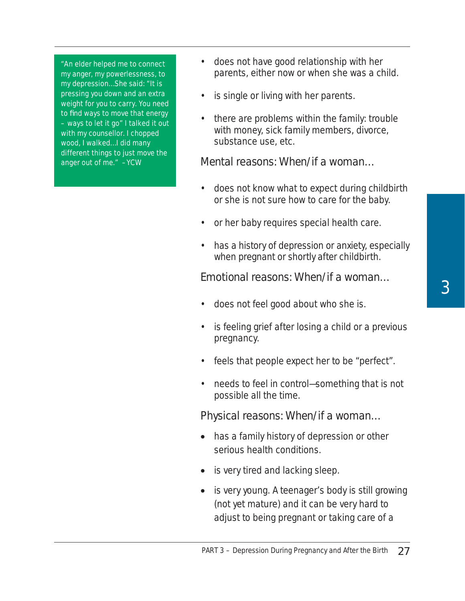is single or living with her parents. • there are problems within the family: trouble with money, sick family members, divorce, substance use, etc. *Mental reasons: When/if a woman…*

- does not know what to expect during childbirth or she is not sure how to care for the baby.
- or her baby requires special health care.

• does not have good relationship with her

parents, either now or when she was a child.

• has a history of depression or anxiety, especially when pregnant or shortly after childbirth.

#### *Emotional reasons: When/if a woman…*

- does not feel good about who she is.
- is feeling grief after losing a child or a previous pregnancy.
- feels that people expect her to be "perfect".
- needs to feel in control—something that is not possible all the time.

#### *Physical reasons: When/if a woman…*

- has a family history of depression or other serious health conditions.
- is very tired and lacking sleep.
- is very young. A teenager's body is still growing (not yet mature) and it can be very hard to adjust to being pregnant or taking care of a

*"An elder helped me to connect my anger, my powerlessness, to my depression…She said: "It is pressing you down and an extra weight for you to carry. You need to fi nd ways to move that energy – ways to let it go" I talked it out with my counsellor. I chopped wood, I walked…I did many different things to just move the anger out of me." –YCW*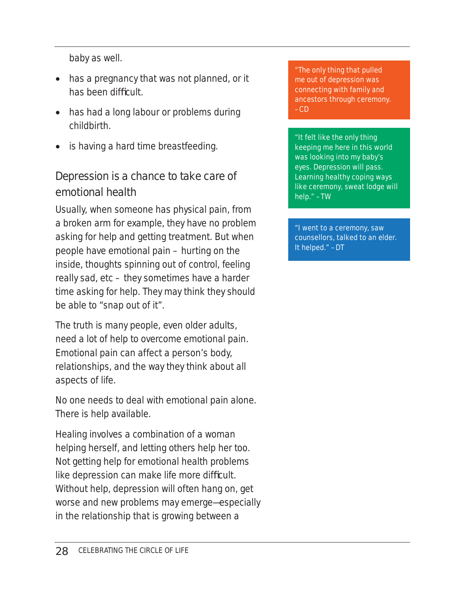baby as well.

- has a pregnancy that was not planned, or it has been difficult.
- has had a long labour or problems during childbirth.
- is having a hard time breastfeeding.

## *Depression is a chance to take care of emotional health*

Usually, when someone has physical pain, from a broken arm for example, they have no problem asking for help and getting treatment. But when people have emotional pain – hurting on the inside, thoughts spinning out of control, feeling really sad, etc – they sometimes have a harder time asking for help. They may think they should be able to "snap out of it".

The truth is many people, even older adults, need a lot of help to overcome emotional pain. Emotional pain can affect a person's body, relationships, and the way they think about all aspects of life.

No one needs to deal with emotional pain alone. There is help available.

Healing involves a combination of a woman helping herself, and letting others help her too. Not getting help for emotional health problems like depression can make life more difficult. Without help, depression will often hang on, get worse and new problems may emerge—especially in the relationship that is growing between a

*"The only thing that pulled me out of depression was connecting with family and ancestors through ceremony. –CD*

*"It felt like the only thing keeping me here in this world was looking into my baby's eyes. Depression will pass. Learning healthy coping ways like ceremony, sweat lodge will help." –TW*

*"I went to a ceremony, saw counsellors, talked to an elder. It helped." –DT*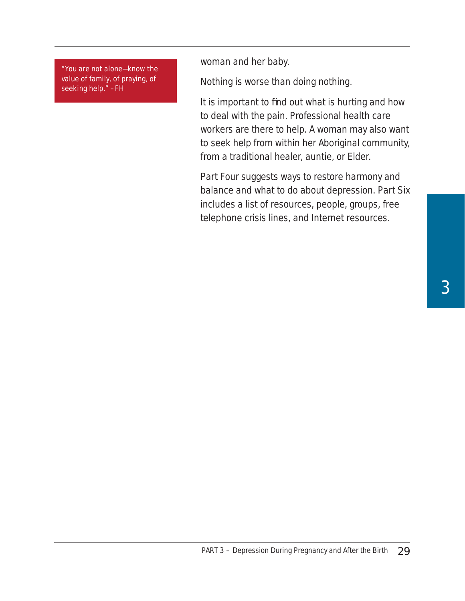*"You are not alone—know the value of family, of praying, of seeking help." –FH*

woman and her baby.

Nothing is worse than doing nothing.

It is important to find out what is hurting and how to deal with the pain. Professional health care workers are there to help. A woman may also want to seek help from within her Aboriginal community, from a traditional healer, auntie, or Elder.

Part Four suggests ways to restore harmony and balance and what to do about depression. Part Six includes a list of resources, people, groups, free telephone crisis lines, and Internet resources.